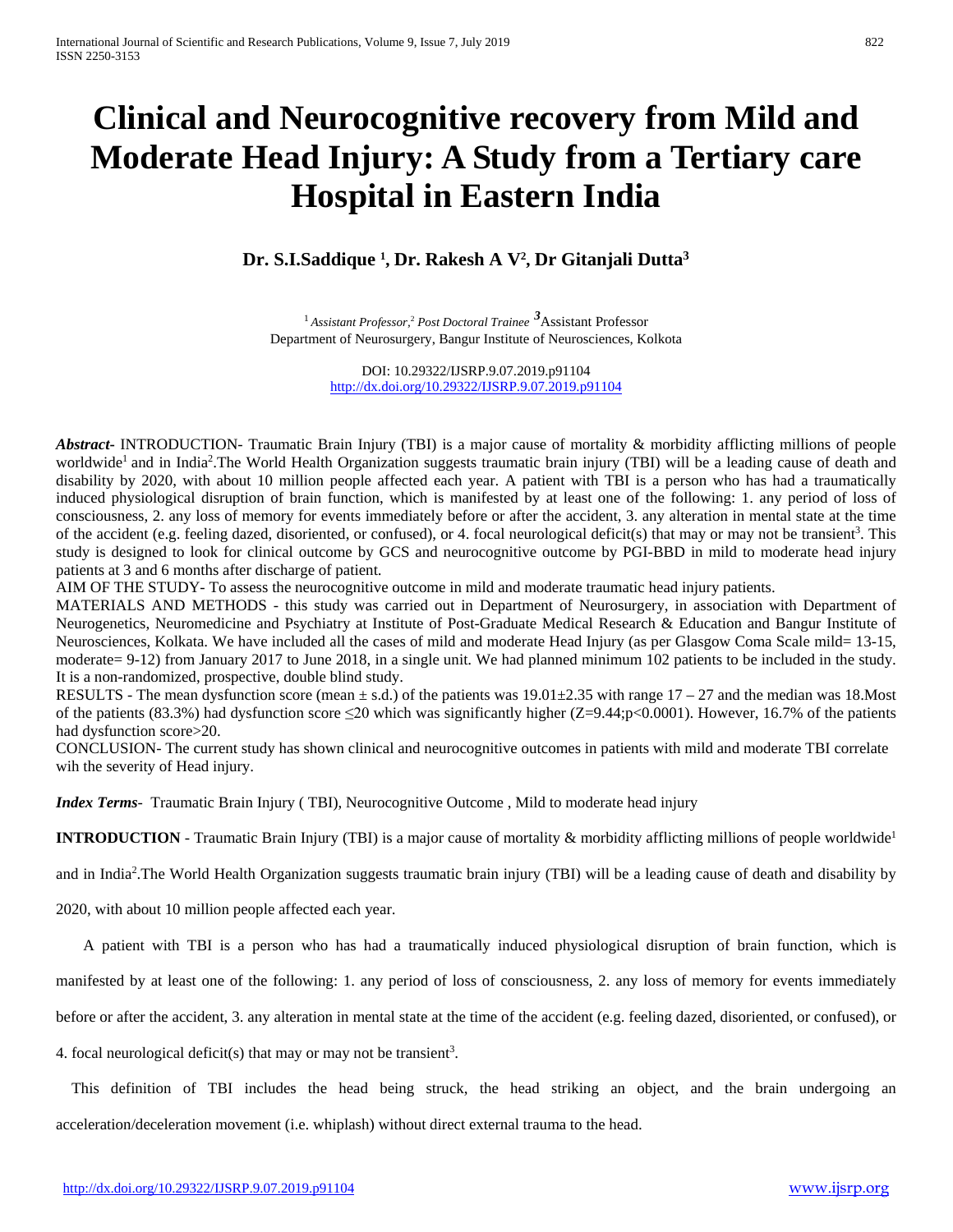# **Clinical and Neurocognitive recovery from Mild and Moderate Head Injury: A Study from a Tertiary care Hospital in Eastern India**

# **Dr. S.I.Saddique 1 , Dr. Rakesh A V2 , Dr Gitanjali Dutta3**

<sup>1</sup> *Assistant Professor,*<sup>2</sup> *Post Doctoral Trainee <sup>3</sup>* Assistant Professor Department of Neurosurgery, Bangur Institute of Neurosciences, Kolkota

> DOI: 10.29322/IJSRP.9.07.2019.p91104 <http://dx.doi.org/10.29322/IJSRP.9.07.2019.p91104>

*Abstract***-** INTRODUCTION- Traumatic Brain Injury (TBI) is a major cause of mortality & morbidity afflicting millions of people worldwide<sup>1</sup> and in India<sup>2</sup>. The World Health Organization suggests traumatic brain injury (TBI) will be a leading cause of death and disability by 2020, with about 10 million people affected each year. A patient with TBI is a person who has had a traumatically induced physiological disruption of brain function, which is manifested by at least one of the following: 1. any period of loss of consciousness, 2. any loss of memory for events immediately before or after the accident, 3. any alteration in mental state at the time of the accident (e.g. feeling dazed, disoriented, or confused), or 4. focal neurological deficit(s) that may or may not be transient<sup>3</sup>. This study is designed to look for clinical outcome by GCS and neurocognitive outcome by PGI-BBD in mild to moderate head injury patients at 3 and 6 months after discharge of patient.

AIM OF THE STUDY- To assess the neurocognitive outcome in mild and moderate traumatic head injury patients.

MATERIALS AND METHODS - this study was carried out in Department of Neurosurgery, in association with Department of Neurogenetics, Neuromedicine and Psychiatry at Institute of Post-Graduate Medical Research & Education and Bangur Institute of Neurosciences, Kolkata. We have included all the cases of mild and moderate Head Injury (as per Glasgow Coma Scale mild= 13-15, moderate= 9-12) from January 2017 to June 2018, in a single unit. We had planned minimum 102 patients to be included in the study. It is a non-randomized, prospective, double blind study.

RESULTS - The mean dysfunction score (mean  $\pm$  s.d.) of the patients was 19.01 $\pm$ 2.35 with range 17 – 27 and the median was 18.Most of the patients (83.3%) had dysfunction score  $\leq 20$  which was significantly higher (Z=9.44;p<0.0001). However, 16.7% of the patients had dysfunction score > 20.

CONCLUSION- The current study has shown clinical and neurocognitive outcomes in patients with mild and moderate TBI correlate wih the severity of Head injury.

*Index Terms*- Traumatic Brain Injury ( TBI), Neurocognitive Outcome , Mild to moderate head injury

**INTRODUCTION** - Traumatic Brain Injury (TBI) is a major cause of mortality & morbidity afflicting millions of people worldwide<sup>1</sup>

and in India2 .The World Health Organization suggests traumatic brain injury (TBI) will be a leading cause of death and disability by

2020, with about 10 million people affected each year.

A patient with TBI is a person who has had a traumatically induced physiological disruption of brain function, which is

manifested by at least one of the following: 1. any period of loss of consciousness, 2. any loss of memory for events immediately

before or after the accident, 3. any alteration in mental state at the time of the accident (e.g. feeling dazed, disoriented, or confused), or

4. focal neurological deficit(s) that may or may not be transient<sup>3</sup>.

 This definition of TBI includes the head being struck, the head striking an object, and the brain undergoing an acceleration/deceleration movement (i.e. whiplash) without direct external trauma to the head.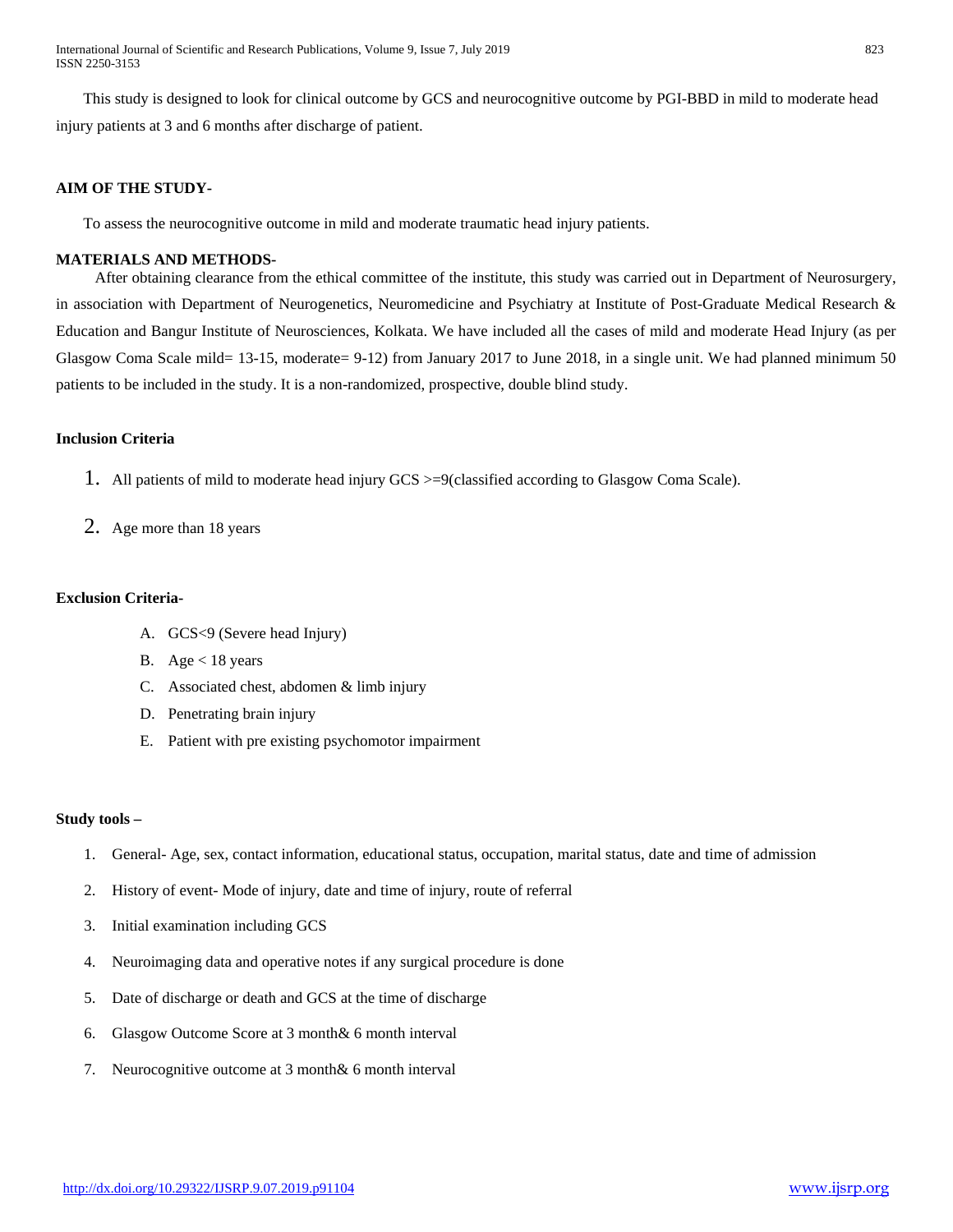International Journal of Scientific and Research Publications, Volume 9, Issue 7, July 2019 823 ISSN 2250-3153

 This study is designed to look for clinical outcome by GCS and neurocognitive outcome by PGI-BBD in mild to moderate head injury patients at 3 and 6 months after discharge of patient.

#### **AIM OF THE STUDY-**

To assess the neurocognitive outcome in mild and moderate traumatic head injury patients.

#### **MATERIALS AND METHODS-**

After obtaining clearance from the ethical committee of the institute, this study was carried out in Department of Neurosurgery, in association with Department of Neurogenetics, Neuromedicine and Psychiatry at Institute of Post-Graduate Medical Research & Education and Bangur Institute of Neurosciences, Kolkata. We have included all the cases of mild and moderate Head Injury (as per Glasgow Coma Scale mild= 13-15, moderate= 9-12) from January 2017 to June 2018, in a single unit. We had planned minimum 50 patients to be included in the study. It is a non-randomized, prospective, double blind study.

#### **Inclusion Criteria**

- 1. All patients of mild to moderate head injury GCS >=9(classified according to Glasgow Coma Scale).
- 2. Age more than 18 years

#### **Exclusion Criteria-**

- A. GCS<9 (Severe head Injury)
- B. Age  $<$  18 years
- C. Associated chest, abdomen & limb injury
- D. Penetrating brain injury
- E. Patient with pre existing psychomotor impairment

#### **Study tools –**

- 1. General- Age, sex, contact information, educational status, occupation, marital status, date and time of admission
- 2. History of event- Mode of injury, date and time of injury, route of referral
- 3. Initial examination including GCS
- 4. Neuroimaging data and operative notes if any surgical procedure is done
- 5. Date of discharge or death and GCS at the time of discharge
- 6. Glasgow Outcome Score at 3 month& 6 month interval
- 7. Neurocognitive outcome at 3 month & 6 month interval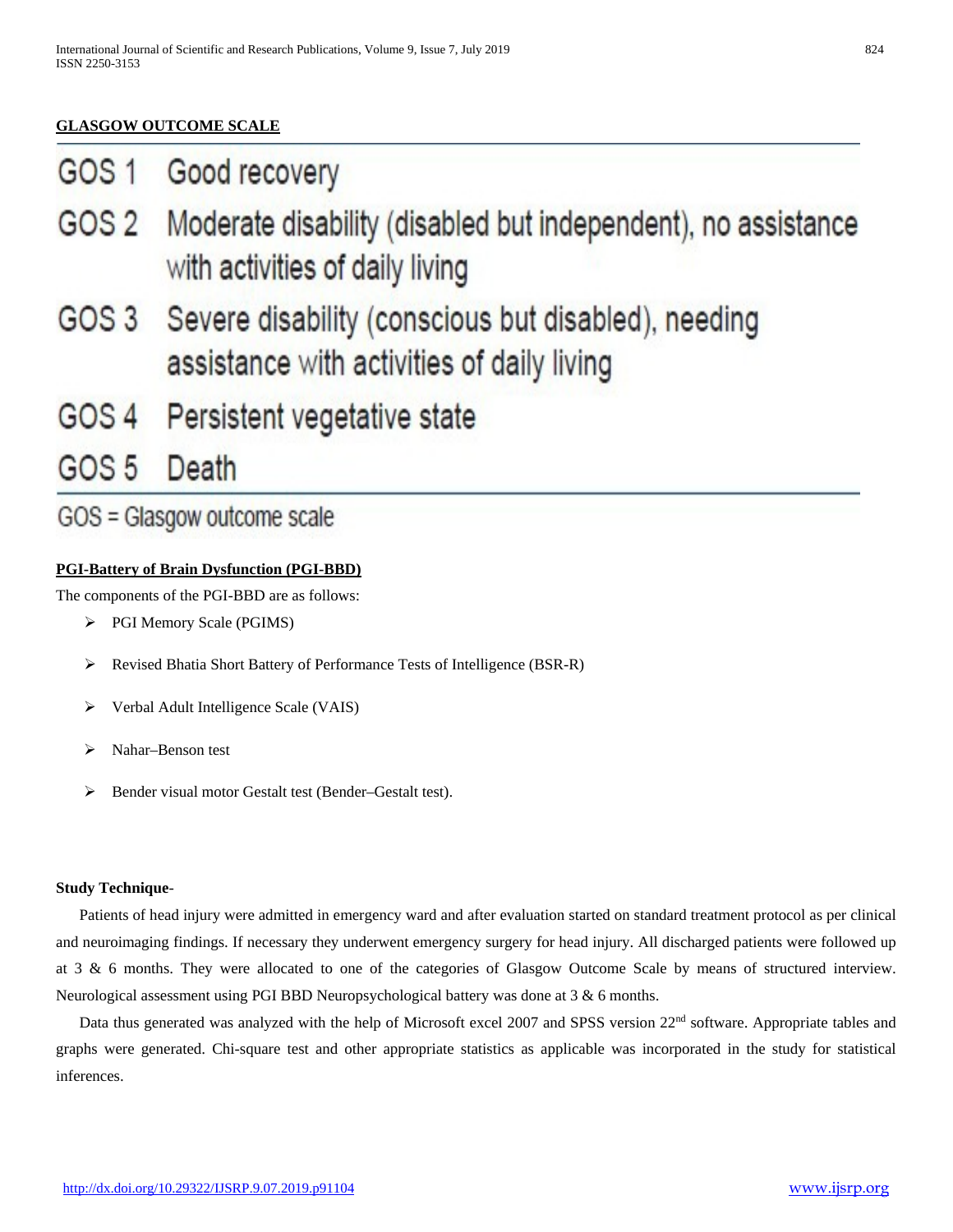# **GLASGOW OUTCOME SCALE**

| GOS <sub>1</sub> |  | Good recovery |
|------------------|--|---------------|
|------------------|--|---------------|

- GOS<sub>2</sub> Moderate disability (disabled but independent), no assistance with activities of daily living
- Severe disability (conscious but disabled), needing GOS 3 assistance with activities of daily living
- GOS 4 Persistent vegetative state
- GOS<sub>5</sub> Death

# GOS = Glasgow outcome scale

# **PGI-Battery of Brain Dysfunction (PGI-BBD)**

The components of the PGI-BBD are as follows:

- PGI Memory Scale (PGIMS)
- Revised Bhatia Short Battery of Performance Tests of Intelligence (BSR-R)
- Verbal Adult Intelligence Scale (VAIS)
- Nahar–Benson test
- Bender visual motor Gestalt test (Bender–Gestalt test).

#### **Study Technique**-

 Patients of head injury were admitted in emergency ward and after evaluation started on standard treatment protocol as per clinical and neuroimaging findings. If necessary they underwent emergency surgery for head injury. All discharged patients were followed up at 3 & 6 months. They were allocated to one of the categories of Glasgow Outcome Scale by means of structured interview. Neurological assessment using PGI BBD Neuropsychological battery was done at 3 & 6 months.

Data thus generated was analyzed with the help of Microsoft excel 2007 and SPSS version 22<sup>nd</sup> software. Appropriate tables and graphs were generated. Chi-square test and other appropriate statistics as applicable was incorporated in the study for statistical inferences.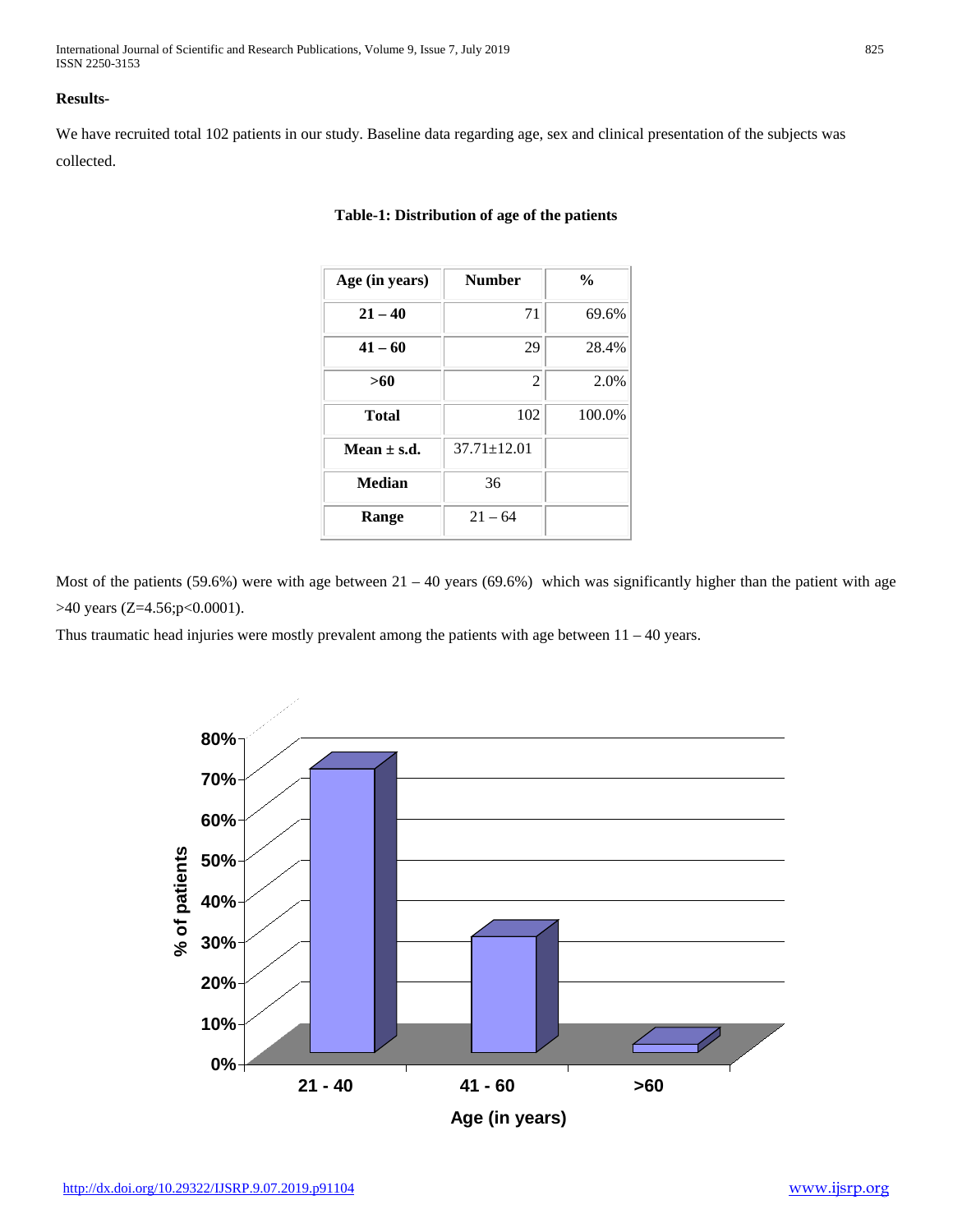International Journal of Scientific and Research Publications, Volume 9, Issue 7, July 2019 825 ISSN 2250-3153

#### **Results-**

We have recruited total 102 patients in our study. Baseline data regarding age, sex and clinical presentation of the subjects was collected.

| Age (in years)  | <b>Number</b>     | $\frac{0}{0}$ |
|-----------------|-------------------|---------------|
| $21 - 40$       | 71                | 69.6%         |
| $41 - 60$       | 29                | 28.4%         |
| >60             | 2                 | 2.0%          |
| <b>Total</b>    | 102               | 100.0%        |
| Mean $\pm$ s.d. | $37.71 \pm 12.01$ |               |
| <b>Median</b>   | 36                |               |
| Range           | $21 - 64$         |               |

#### **Table-1: Distribution of age of the patients**

Most of the patients (59.6%) were with age between  $21 - 40$  years (69.6%) which was significantly higher than the patient with age >40 years (Z=4.56;p<0.0001).

Thus traumatic head injuries were mostly prevalent among the patients with age between  $11 - 40$  years.

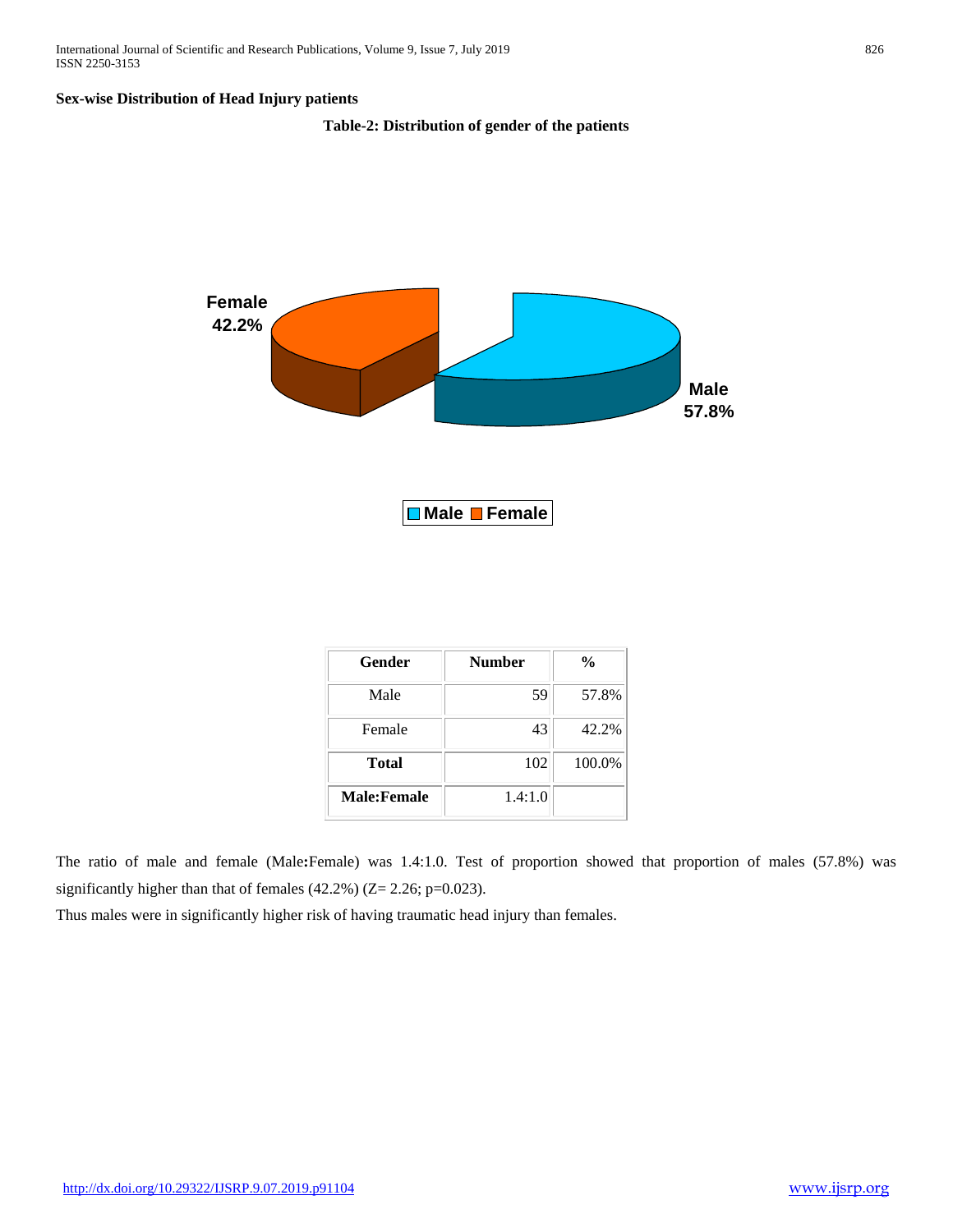#### **Sex-wise Distribution of Head Injury patients**

#### **Table-2: Distribution of gender of the patients**



| Gender             | <b>Number</b> | $\frac{6}{9}$ |
|--------------------|---------------|---------------|
| Male               | 59            | 57.8%         |
| Female             | 43            | 42.2%         |
| <b>Total</b>       | 102           | 100.0%        |
| <b>Male:Female</b> | 1.4:1.0       |               |

The ratio of male and female (Male**:**Female) was 1.4:1.0. Test of proportion showed that proportion of males (57.8%) was significantly higher than that of females (42.2%) (Z= 2.26; p=0.023).

Thus males were in significantly higher risk of having traumatic head injury than females.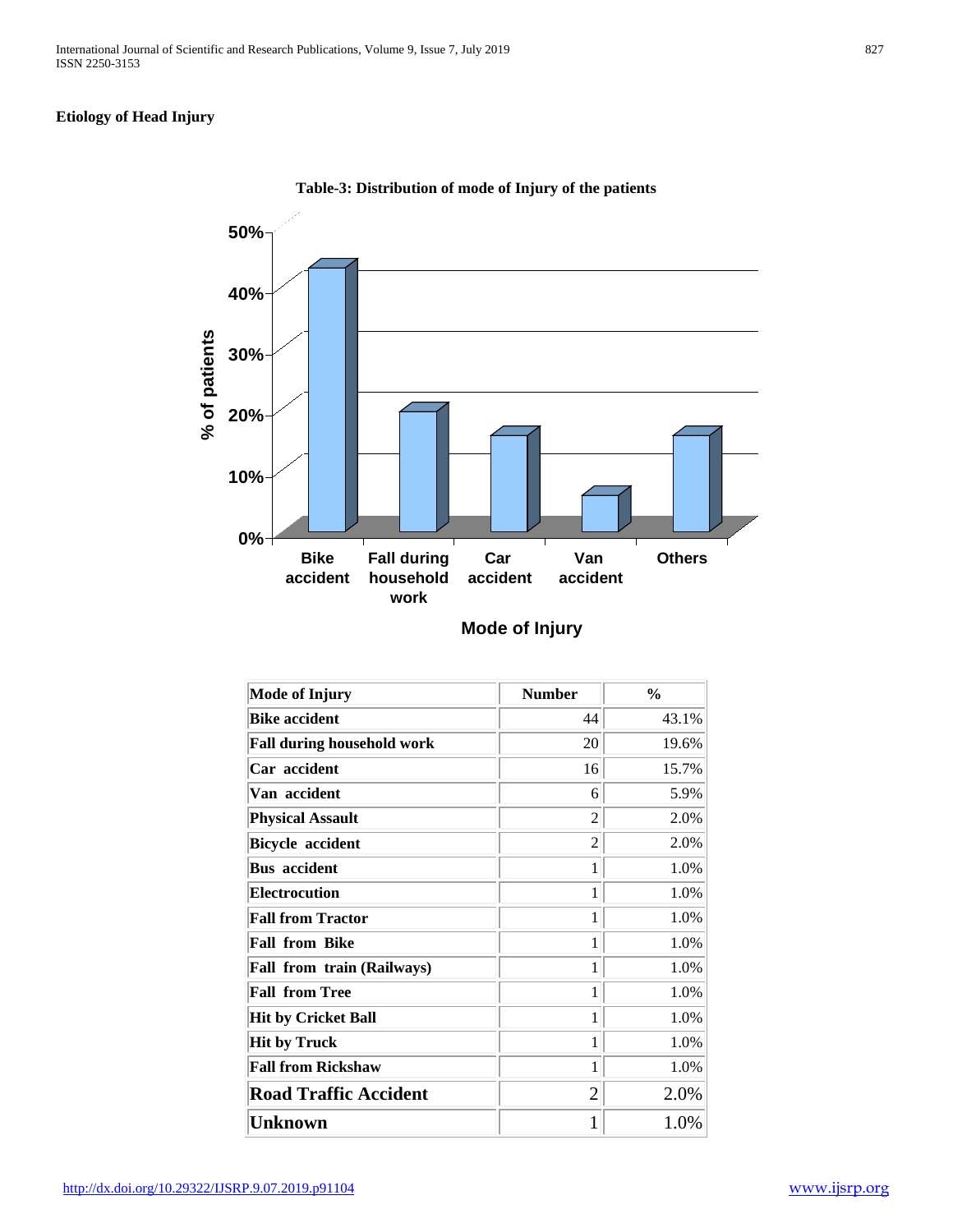# **Etiology of Head Injury**



**Table-3: Distribution of mode of Injury of the patients**

| <b>Mode of Injury</b>             | <b>Number</b>  | $\frac{6}{9}$ |
|-----------------------------------|----------------|---------------|
| <b>Bike accident</b>              | 44             | 43.1%         |
| <b>Fall during household work</b> | 20             | 19.6%         |
| Car accident                      | 16             | 15.7%         |
| Van accident                      | 6              | 5.9%          |
| <b>Physical Assault</b>           | $\overline{c}$ | 2.0%          |
| <b>Bicycle accident</b>           | 2              | 2.0%          |
| <b>Bus</b> accident               | 1              | 1.0%          |
| <b>Electrocution</b>              | 1              | 1.0%          |
| <b>Fall from Tractor</b>          | 1              | 1.0%          |
| <b>Fall from Bike</b>             | 1              | 1.0%          |
| <b>Fall from train (Railways)</b> | 1              | 1.0%          |
| <b>Fall from Tree</b>             | 1              | 1.0%          |
| <b>Hit by Cricket Ball</b>        | 1              | 1.0%          |
| <b>Hit by Truck</b>               | 1              | 1.0%          |
| <b>Fall from Rickshaw</b>         | 1              | 1.0%          |
| <b>Road Traffic Accident</b>      | $\overline{2}$ | 2.0%          |
| <b>Unknown</b>                    | 1              | 1.0%          |

**Mode of Injury**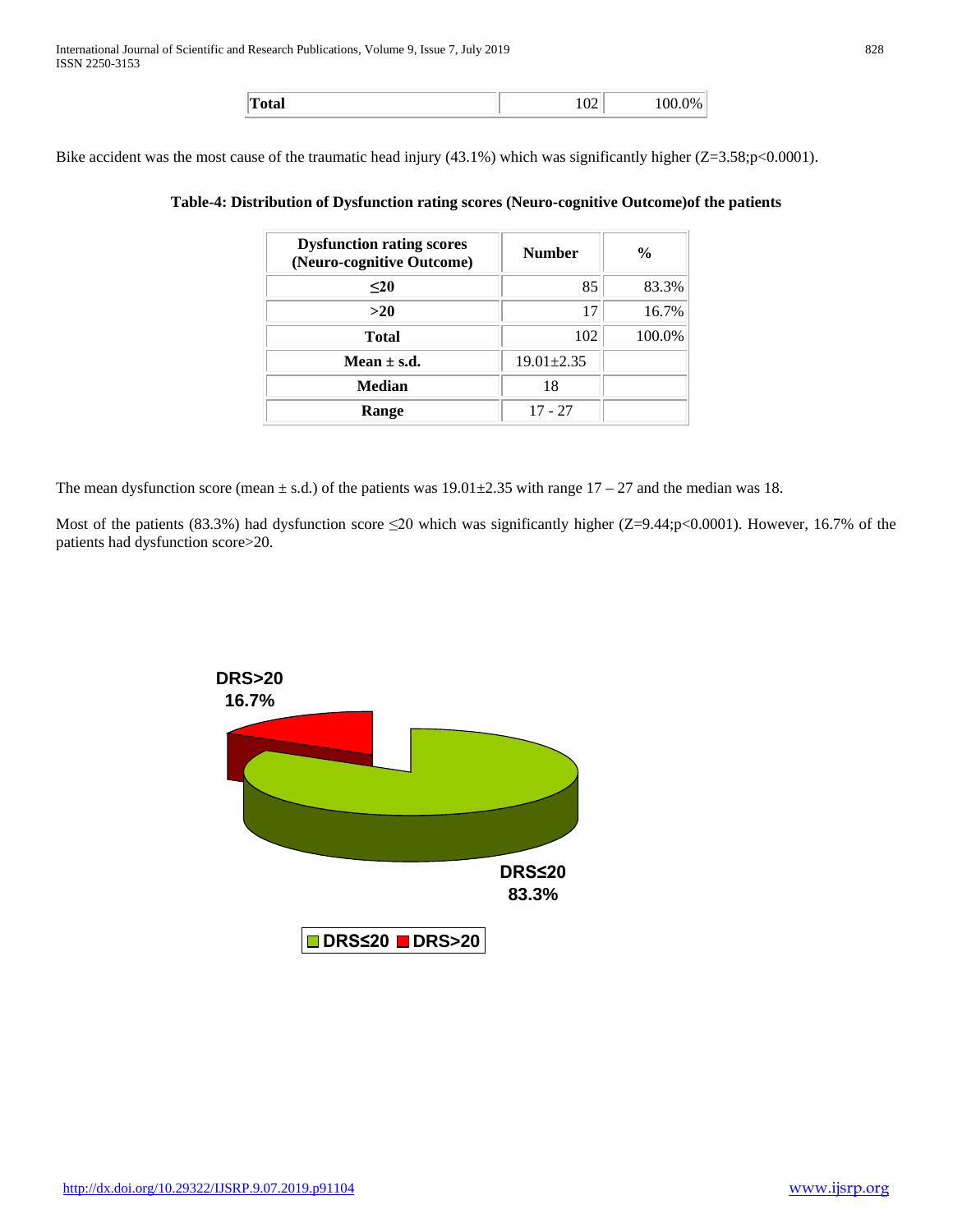| Total | $\Omega$ | 100.0% |
|-------|----------|--------|
|       |          |        |

Bike accident was the most cause of the traumatic head injury (43.1%) which was significantly higher (Z=3.58;p<0.0001).

### **Table-4: Distribution of Dysfunction rating scores (Neuro-cognitive Outcome)of the patients**

| <b>Dysfunction rating scores</b><br>(Neuro-cognitive Outcome) | <b>Number</b>    | $\frac{0}{0}$ |
|---------------------------------------------------------------|------------------|---------------|
| $20$                                                          | 85               | 83.3%         |
| >20                                                           | 17               | 16.7%         |
| Total                                                         | 102              | 100.0%        |
| Mean $\pm$ s.d.                                               | $19.01 \pm 2.35$ |               |
| <b>Median</b>                                                 | 18               |               |
| Range                                                         | $17 - 27$        |               |

The mean dysfunction score (mean  $\pm$  s.d.) of the patients was 19.01 $\pm$ 2.35 with range 17 – 27 and the median was 18.

Most of the patients (83.3%) had dysfunction score  $\leq 20$  which was significantly higher (Z=9.44;p<0.0001). However, 16.7% of the patients had dysfunction score>20.

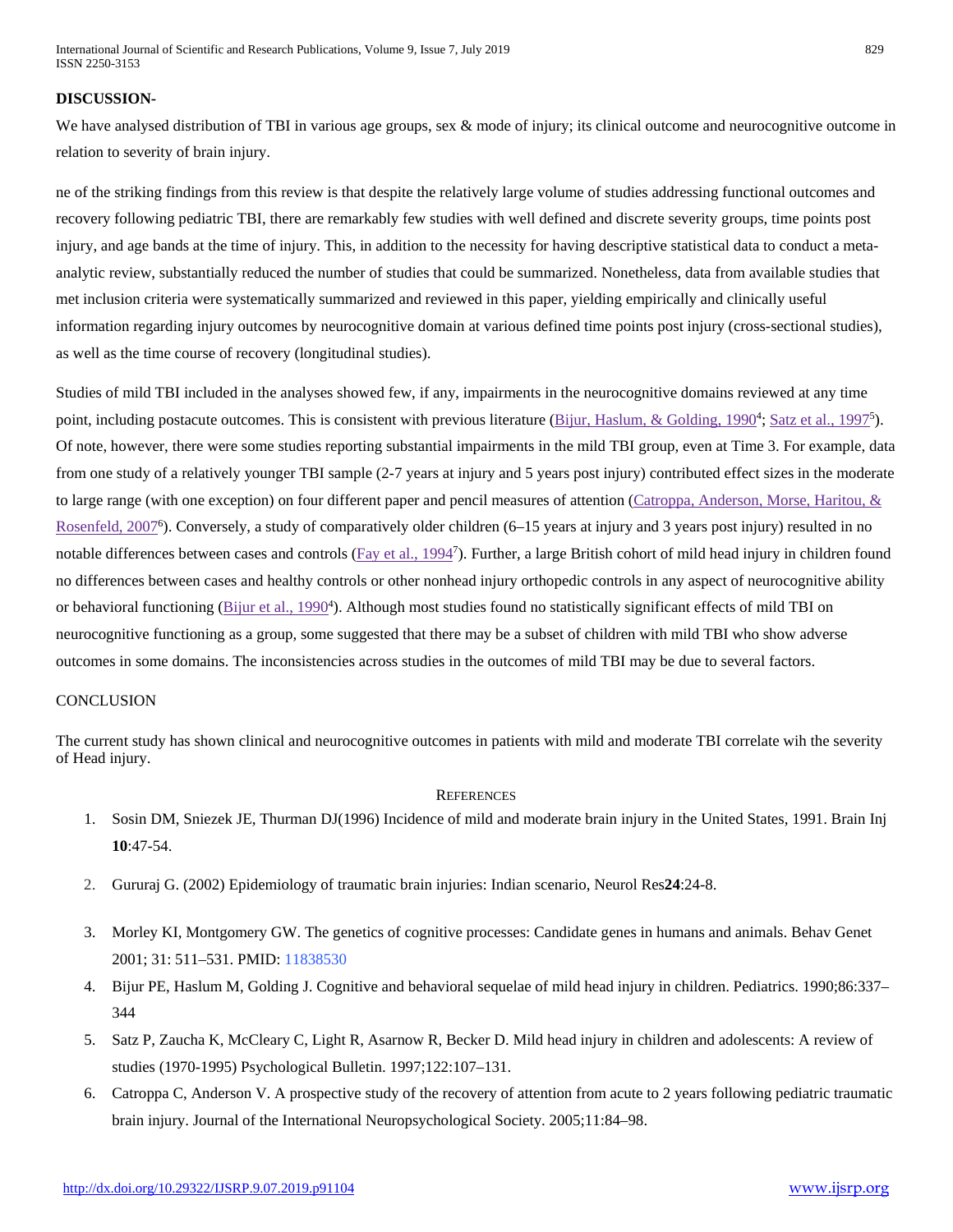#### **DISCUSSION-**

We have analysed distribution of TBI in various age groups, sex & mode of injury; its clinical outcome and neurocognitive outcome in relation to severity of brain injury.

ne of the striking findings from this review is that despite the relatively large volume of studies addressing functional outcomes and recovery following pediatric TBI, there are remarkably few studies with well defined and discrete severity groups, time points post injury, and age bands at the time of injury. This, in addition to the necessity for having descriptive statistical data to conduct a metaanalytic review, substantially reduced the number of studies that could be summarized. Nonetheless, data from available studies that met inclusion criteria were systematically summarized and reviewed in this paper, yielding empirically and clinically useful information regarding injury outcomes by neurocognitive domain at various defined time points post injury (cross-sectional studies), as well as the time course of recovery (longitudinal studies).

Studies of mild TBI included in the analyses showed few, if any, impairments in the neurocognitive domains reviewed at any time point, including postacute outcomes. This is consistent with previous literature (*Bijur*, Haslum, & Golding, 1990<sup>4</sup>; Satz et al., 1997<sup>5</sup>). Of note, however, there were some studies reporting substantial impairments in the mild TBI group, even at Time 3. For example, data from one study of a relatively younger TBI sample (2-7 years at injury and 5 years post injury) contributed effect sizes in the moderate to large range (with one exception) on four different paper and pencil measures of attention [\(Catroppa, Anderson, Morse, Haritou, &](https://www.ncbi.nlm.nih.gov/pmc/articles/PMC4064005/#R16)  Rosenfeld, 2007<sup>6</sup>). Conversely, a study of comparatively older children (6–15 years at injury and 3 years post injury) resulted in no notable differences between cases and controls (*Fay et al., 1994<sup>7</sup>*). Further, a large British cohort of mild head injury in children found no differences between cases and healthy controls or other nonhead injury orthopedic controls in any aspect of neurocognitive ability or behavioral functioning (*Bijur et al., 1990<sup>4</sup>*). Although most studies found no statistically significant effects of mild TBI on neurocognitive functioning as a group, some suggested that there may be a subset of children with mild TBI who show adverse outcomes in some domains. The inconsistencies across studies in the outcomes of mild TBI may be due to several factors.

#### **CONCLUSION**

The current study has shown clinical and neurocognitive outcomes in patients with mild and moderate TBI correlate wih the severity of Head injury.

#### **REFERENCES**

- 1. Sosin DM, Sniezek JE, Thurman DJ(1996) Incidence of mild and moderate brain injury in the United States, 1991. Brain Inj **10**:47-54.
- 2. Gururaj G. (2002) Epidemiology of traumatic brain injuries: Indian scenario, Neurol Res**24**:24-8.
- 3. Morley KI, Montgomery GW. The genetics of cognitive processes: Candidate genes in humans and animals. Behav Genet 2001; 31: 511–531. PMID: 11838530
- 4. Bijur PE, Haslum M, Golding J. Cognitive and behavioral sequelae of mild head injury in children. Pediatrics. 1990;86:337– 344
- 5. Satz P, Zaucha K, McCleary C, Light R, Asarnow R, Becker D. Mild head injury in children and adolescents: A review of studies (1970-1995) Psychological Bulletin. 1997;122:107–131.
- 6. Catroppa C, Anderson V. A prospective study of the recovery of attention from acute to 2 years following pediatric traumatic brain injury. Journal of the International Neuropsychological Society. 2005;11:84–98.